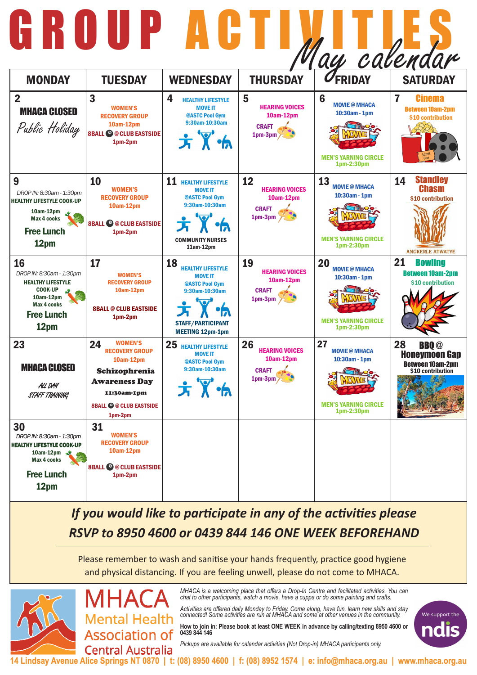*MHACA is a welcoming place that offers a Drop-In Centre and facilitated activities. You can chat to other participants, watch a movie, have a cuppa or do some painting and crafts.* 

*Activities are offered daily Monday to Friday. Come along, have fun, learn new skills and stay connected! Some activities are run at MHACA and some at other venues in the community.* 

**How to join in: Please book at least ONE WEEK in advance by calling/texting 8950 4600 or 0439 844 146**

*Pickups are available for calendar activities (Not Drop-in) MHACA participants only.*



**14 Lindsay Avenue Alice Springs NT 0870 | t: (08) 8950 4600 | f: (08) 8952 1574 | e: info@mhaca.org.au | www.mhaca.org.au**

## *If you would like to participate in any of the activities please RSVP to 8950 4600 or 0439 844 146 ONE WEEK BEFOREHAND*

Please remember to wash and sanitise your hands frequently, practice good hygiene and physical distancing. If you are feeling unwell, please do not come to MHACA.



 $\mathbf{I}$ 

MHA **Mental Health Association of Central Australia** 

|                                                                                                                                              |                                                                                                                                                                   |                                                                                                                                                                  |                                                                       | 'ay calendar                                                                             |                                                                                                       |
|----------------------------------------------------------------------------------------------------------------------------------------------|-------------------------------------------------------------------------------------------------------------------------------------------------------------------|------------------------------------------------------------------------------------------------------------------------------------------------------------------|-----------------------------------------------------------------------|------------------------------------------------------------------------------------------|-------------------------------------------------------------------------------------------------------|
| <b>MONDAY</b>                                                                                                                                | <b>TUESDAY</b>                                                                                                                                                    | <b>WEDNESDAY</b>                                                                                                                                                 | <b>THURSDAY</b>                                                       | <b>UFRIDAY</b>                                                                           | <b>SATURDAY</b>                                                                                       |
| $\overline{2}$<br><b>MHACA CLOSED</b><br>Public Holiday                                                                                      | 3<br><b>WOMEN'S</b><br><b>RECOVERY GROUP</b><br>10am-12pm<br><b>8BALL @ @ CLUB EASTSIDE</b><br>1pm-2pm                                                            | 4<br><b>HEALTHY LIFESTYLE</b><br><b>MOVE IT</b><br>@ASTC Pool Gym<br>9:30am-10:30am<br>方义乐                                                                       | 5<br><b>HEARING VOICES</b><br>10am-12pm<br><b>CRAFT</b><br>$1pm-3pm$  | 6<br><b>MOVIE @ MHACA</b><br>10:30am - 1pm<br><b>MEN'S YARNING CIRCLE</b><br>1pm-2:30pm  | 7<br><b>Cinema</b><br><b>Between 10am-2pm</b><br>\$10 contribution                                    |
| 9<br>DROP IN: 8:30am - 1:30pm<br><b>HEALTHY LIFESTYLE COOK-UP</b><br>10am-12pm<br><b>Max 4 cooks</b><br><b>Free Lunch</b><br>12pm            | 10<br><b>WOMEN'S</b><br><b>RECOVERY GROUP</b><br>10am-12pm<br><b>8BALL © @ CLUB EASTSIDE</b><br>1pm-2pm                                                           | 11<br><b>HEALTHY LIFESTYLE</b><br><b>MOVE IT</b><br>@ASTC Pool Gym<br>9:30am-10:30am<br>$X^*A$<br><b>COMMUNITY NURSES</b><br>$11am-12pm$                         | 12<br><b>HEARING VOICES</b><br>10am-12pm<br><b>CRAFT</b><br>$1pm-3pm$ | 13<br><b>MOVIE @ MHACA</b><br>10:30am - 1pm<br><b>MEN'S YARNING CIRCLE</b><br>1pm-2:30pm | <b>Standley</b><br>14<br><b>Chasm</b><br>\$10 contribution<br><b>ANGKERLE ATWATYE</b>                 |
| 16<br>DROP IN: 8:30am - 1:30pm<br><b>HEALTHY LIFESTYLE</b><br><b>COOK-UP</b><br>10am-12pm<br><b>Max 4 cooks</b><br><b>Free Lunch</b><br>12pm | 17<br><b>WOMEN'S</b><br><b>RECOVERY GROUP</b><br>10am-12pm<br><b>8BALL @ CLUB EASTSIDE</b><br>1pm-2pm                                                             | <b>18</b><br><b>HEALTHY LIFESTYLE</b><br><b>MOVE IT</b><br>@ASTC Pool Gym<br>9:30am-10:30am<br><b>VOT</b><br><b>STAFF/PARTICIPANT</b><br><b>MEETING 12pm-1pm</b> | 19<br><b>HEARING VOICES</b><br>10am-12pm<br><b>CRAFT</b><br>$1pm-3pm$ | 20<br><b>MOVIE @ MHACA</b><br>10:30am - 1pm<br><b>MEN'S YARNING CIRCLE</b><br>1pm-2:30pm | 21<br><b>Bowling</b><br><b>Between 10am-2pm</b><br>\$10 contribution                                  |
| 23<br><b>MHACA CLOSED</b><br>ALL DAY<br>STAFF TRAINING                                                                                       | <b>WOMEN'S</b><br>24<br><b>RECOVERY GROUP</b><br>10am-12pm<br>Schizophrenia<br><b>Awareness Day</b><br>11:30am-1pm<br><b>8BALL © @ CLUB EASTSIDE</b><br>$1pm-2pm$ | 25<br><b>HEALTHY LIFESTYLE</b><br><b>MOVE IT</b><br>@ASTC Pool Gym<br>9:30am-10:30am<br>方义力                                                                      | 26<br><b>HEARING VOICES</b><br>10am-12pm<br><b>CRAFT</b><br>$1pm-3pm$ | 27<br><b>MOVIE @ MHACA</b><br>10:30am - 1pm<br><b>MEN'S YARNING CIRCLE</b><br>1pm-2:30pm | 28<br><b>BBQ</b> <sup>@</sup><br><b>Honeymoon Gap</b><br><b>Between 10am-2pm</b><br>\$10 contribution |
| 30<br>DROP IN: 8:30am - 1:30pm<br><b>HEALTHY LIFESTYLE COOK-UP</b><br>10am-12pm<br><b>Max 4 cooks</b><br><b>Free Lunch</b><br>12pm           | 31<br><b>WOMEN'S</b><br><b>RECOVERY GROUP</b><br>10am-12pm<br><b>8BALL @ @ CLUB EASTSIDE</b><br>1pm-2pm                                                           |                                                                                                                                                                  |                                                                       |                                                                                          |                                                                                                       |